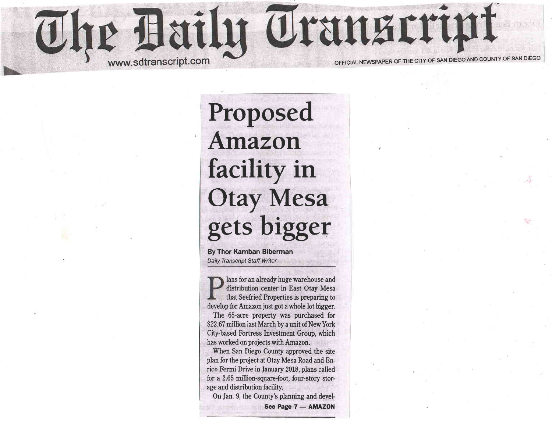

Proposed Amazon facility in Otay Mesa gets bigger

By Thor Kamban Biberman Daily Transcript Staff Writer

lans for an already huge warehouse and distribution center in East Otay Mesa that Seefried Properties is preparing to develop for Amazon just got a whole lot bigger.

The 65-acre property was purchased for \$22.67 million last March by a unit of New York City-based Fortress Investment Group, which has worked on projects with Amazon.

When San Diego County approved the site plan for the project at Otay Mesa Road and Enrico Fermi Drive in January 2018, plans called for a 2.65 million-square-foot, four-story storage and distribution facility.

On Jan. 9, the County's planning and devel-See Page 7 - AMAZON